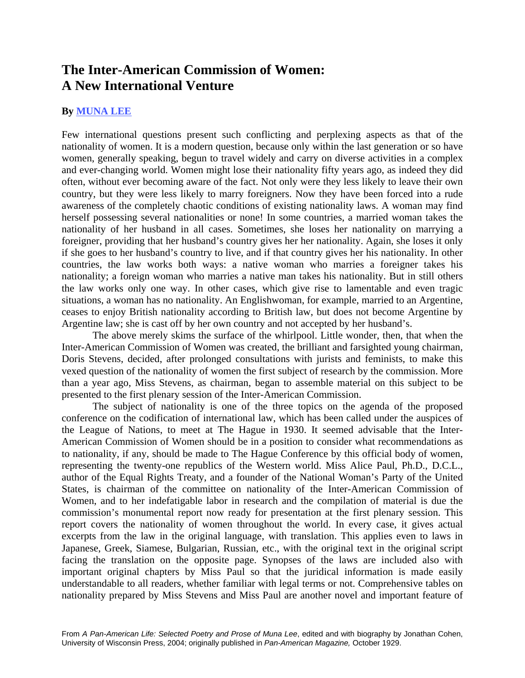## **The Inter-American Commission of Women: A New International Venture**

## **By [MUNA LEE](http://www.uhmc.sunysb.edu/surgery/muna.html)**

Few international questions present such conflicting and perplexing aspects as that of the nationality of women. It is a modern question, because only within the last generation or so have women, generally speaking, begun to travel widely and carry on diverse activities in a complex and ever-changing world. Women might lose their nationality fifty years ago, as indeed they did often, without ever becoming aware of the fact. Not only were they less likely to leave their own country, but they were less likely to marry foreigners. Now they have been forced into a rude awareness of the completely chaotic conditions of existing nationality laws. A woman may find herself possessing several nationalities or none! In some countries, a married woman takes the nationality of her husband in all cases. Sometimes, she loses her nationality on marrying a foreigner, providing that her husband's country gives her her nationality. Again, she loses it only if she goes to her husband's country to live, and if that country gives her his nationality. In other countries, the law works both ways: a native woman who marries a foreigner takes his nationality; a foreign woman who marries a native man takes his nationality. But in still others the law works only one way. In other cases, which give rise to lamentable and even tragic situations, a woman has no nationality. An Englishwoman, for example, married to an Argentine, ceases to enjoy British nationality according to British law, but does not become Argentine by Argentine law; she is cast off by her own country and not accepted by her husband's.

The above merely skims the surface of the whirlpool. Little wonder, then, that when the Inter-American Commission of Women was created, the brilliant and farsighted young chairman, Doris Stevens, decided, after prolonged consultations with jurists and feminists, to make this vexed question of the nationality of women the first subject of research by the commission. More than a year ago, Miss Stevens, as chairman, began to assemble material on this subject to be presented to the first plenary session of the Inter-American Commission.

The subject of nationality is one of the three topics on the agenda of the proposed conference on the codification of international law, which has been called under the auspices of the League of Nations, to meet at The Hague in 1930. It seemed advisable that the Inter-American Commission of Women should be in a position to consider what recommendations as to nationality, if any, should be made to The Hague Conference by this official body of women, representing the twenty-one republics of the Western world. Miss Alice Paul, Ph.D., D.C.L., author of the Equal Rights Treaty, and a founder of the National Woman's Party of the United States, is chairman of the committee on nationality of the Inter-American Commission of Women, and to her indefatigable labor in research and the compilation of material is due the commission's monumental report now ready for presentation at the first plenary session. This report covers the nationality of women throughout the world. In every case, it gives actual excerpts from the law in the original language, with translation. This applies even to laws in Japanese, Greek, Siamese, Bulgarian, Russian, etc., with the original text in the original script facing the translation on the opposite page. Synopses of the laws are included also with important original chapters by Miss Paul so that the juridical information is made easily understandable to all readers, whether familiar with legal terms or not. Comprehensive tables on nationality prepared by Miss Stevens and Miss Paul are another novel and important feature of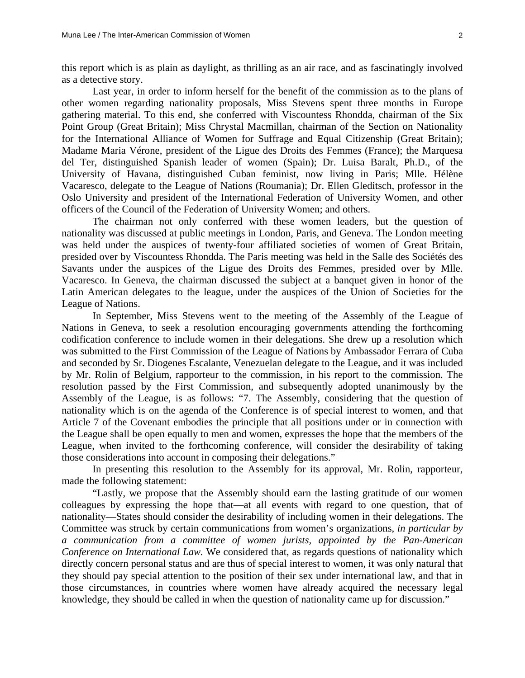this report which is as plain as daylight, as thrilling as an air race, and as fascinatingly involved as a detective story.

 Last year, in order to inform herself for the benefit of the commission as to the plans of other women regarding nationality proposals, Miss Stevens spent three months in Europe gathering material. To this end, she conferred with Viscountess Rhondda, chairman of the Six Point Group (Great Britain); Miss Chrystal Macmillan, chairman of the Section on Nationality for the International Alliance of Women for Suffrage and Equal Citizenship (Great Britain); Madame Maria Vérone, president of the Ligue des Droits des Femmes (France); the Marquesa del Ter, distinguished Spanish leader of women (Spain); Dr. Luisa Baralt, Ph.D., of the University of Havana, distinguished Cuban feminist, now living in Paris; Mlle. Hélène Vacaresco, delegate to the League of Nations (Roumania); Dr. Ellen Gleditsch, professor in the Oslo University and president of the International Federation of University Women, and other officers of the Council of the Federation of University Women; and others.

 The chairman not only conferred with these women leaders, but the question of nationality was discussed at public meetings in London, Paris, and Geneva. The London meeting was held under the auspices of twenty-four affiliated societies of women of Great Britain, presided over by Viscountess Rhondda. The Paris meeting was held in the Salle des Sociétés des Savants under the auspices of the Ligue des Droits des Femmes, presided over by Mlle. Vacaresco. In Geneva, the chairman discussed the subject at a banquet given in honor of the Latin American delegates to the league, under the auspices of the Union of Societies for the League of Nations.

 In September, Miss Stevens went to the meeting of the Assembly of the League of Nations in Geneva, to seek a resolution encouraging governments attending the forthcoming codification conference to include women in their delegations. She drew up a resolution which was submitted to the First Commission of the League of Nations by Ambassador Ferrara of Cuba and seconded by Sr. Diogenes Escalante, Venezuelan delegate to the League, and it was included by Mr. Rolin of Belgium, rapporteur to the commission, in his report to the commission. The resolution passed by the First Commission, and subsequently adopted unanimously by the Assembly of the League, is as follows: "7. The Assembly, considering that the question of nationality which is on the agenda of the Conference is of special interest to women, and that Article 7 of the Covenant embodies the principle that all positions under or in connection with the League shall be open equally to men and women, expresses the hope that the members of the League, when invited to the forthcoming conference, will consider the desirability of taking those considerations into account in composing their delegations."

 In presenting this resolution to the Assembly for its approval, Mr. Rolin, rapporteur, made the following statement:

 "Lastly, we propose that the Assembly should earn the lasting gratitude of our women colleagues by expressing the hope that—at all events with regard to one question, that of nationality—States should consider the desirability of including women in their delegations. The Committee was struck by certain communications from women's organizations, *in particular by a communication from a committee of women jurists, appointed by the Pan-American Conference on International Law.* We considered that, as regards questions of nationality which directly concern personal status and are thus of special interest to women, it was only natural that they should pay special attention to the position of their sex under international law, and that in those circumstances, in countries where women have already acquired the necessary legal knowledge, they should be called in when the question of nationality came up for discussion."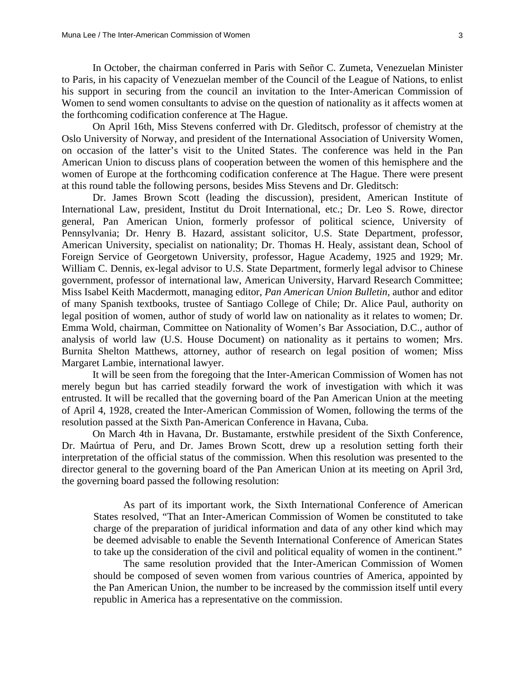In October, the chairman conferred in Paris with Señor C. Zumeta, Venezuelan Minister to Paris, in his capacity of Venezuelan member of the Council of the League of Nations, to enlist his support in securing from the council an invitation to the Inter-American Commission of Women to send women consultants to advise on the question of nationality as it affects women at the forthcoming codification conference at The Hague.

 On April 16th, Miss Stevens conferred with Dr. Gleditsch, professor of chemistry at the Oslo University of Norway, and president of the International Association of University Women, on occasion of the latter's visit to the United States. The conference was held in the Pan American Union to discuss plans of cooperation between the women of this hemisphere and the women of Europe at the forthcoming codification conference at The Hague. There were present at this round table the following persons, besides Miss Stevens and Dr. Gleditsch:

 Dr. James Brown Scott (leading the discussion), president, American Institute of International Law, president, Institut du Droit International, etc.; Dr. Leo S. Rowe, director general, Pan American Union, formerly professor of political science, University of Pennsylvania; Dr. Henry B. Hazard, assistant solicitor, U.S. State Department, professor, American University, specialist on nationality; Dr. Thomas H. Healy, assistant dean, School of Foreign Service of Georgetown University, professor, Hague Academy, 1925 and 1929; Mr. William C. Dennis, ex-legal advisor to U.S. State Department, formerly legal advisor to Chinese government, professor of international law, American University, Harvard Research Committee; Miss Isabel Keith Macdermott, managing editor, *Pan American Union Bulletin,* author and editor of many Spanish textbooks, trustee of Santiago College of Chile; Dr. Alice Paul, authority on legal position of women, author of study of world law on nationality as it relates to women; Dr. Emma Wold, chairman, Committee on Nationality of Women's Bar Association, D.C., author of analysis of world law (U.S. House Document) on nationality as it pertains to women; Mrs. Burnita Shelton Matthews, attorney, author of research on legal position of women; Miss Margaret Lambie, international lawyer.

 It will be seen from the foregoing that the Inter-American Commission of Women has not merely begun but has carried steadily forward the work of investigation with which it was entrusted. It will be recalled that the governing board of the Pan American Union at the meeting of April 4, 1928, created the Inter-American Commission of Women, following the terms of the resolution passed at the Sixth Pan-American Conference in Havana, Cuba.

 On March 4th in Havana, Dr. Bustamante, erstwhile president of the Sixth Conference, Dr. Maúrtua of Peru, and Dr. James Brown Scott, drew up a resolution setting forth their interpretation of the official status of the commission. When this resolution was presented to the director general to the governing board of the Pan American Union at its meeting on April 3rd, the governing board passed the following resolution:

 As part of its important work, the Sixth International Conference of American States resolved, "That an Inter-American Commission of Women be constituted to take charge of the preparation of juridical information and data of any other kind which may be deemed advisable to enable the Seventh International Conference of American States to take up the consideration of the civil and political equality of women in the continent."

 The same resolution provided that the Inter-American Commission of Women should be composed of seven women from various countries of America, appointed by the Pan American Union, the number to be increased by the commission itself until every republic in America has a representative on the commission.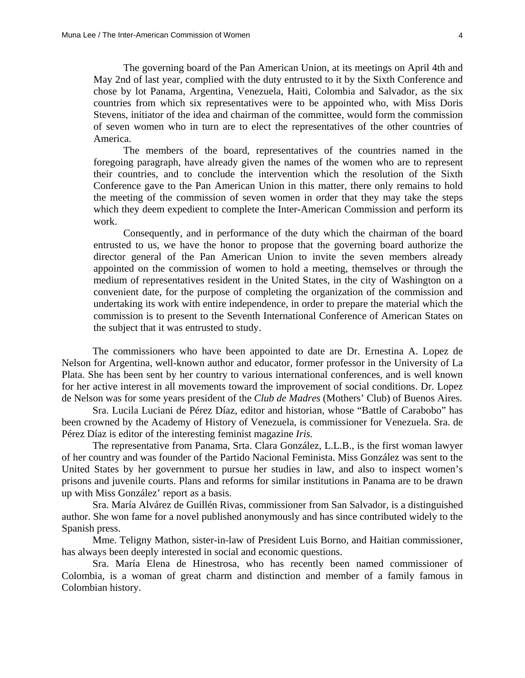The governing board of the Pan American Union, at its meetings on April 4th and May 2nd of last year, complied with the duty entrusted to it by the Sixth Conference and chose by lot Panama, Argentina, Venezuela, Haiti, Colombia and Salvador, as the six countries from which six representatives were to be appointed who, with Miss Doris Stevens, initiator of the idea and chairman of the committee, would form the commission of seven women who in turn are to elect the representatives of the other countries of America.

 The members of the board, representatives of the countries named in the foregoing paragraph, have already given the names of the women who are to represent their countries, and to conclude the intervention which the resolution of the Sixth Conference gave to the Pan American Union in this matter, there only remains to hold the meeting of the commission of seven women in order that they may take the steps which they deem expedient to complete the Inter-American Commission and perform its work.

 Consequently, and in performance of the duty which the chairman of the board entrusted to us, we have the honor to propose that the governing board authorize the director general of the Pan American Union to invite the seven members already appointed on the commission of women to hold a meeting, themselves or through the medium of representatives resident in the United States, in the city of Washington on a convenient date, for the purpose of completing the organization of the commission and undertaking its work with entire independence, in order to prepare the material which the commission is to present to the Seventh International Conference of American States on the subject that it was entrusted to study.

 The commissioners who have been appointed to date are Dr. Ernestina A. Lopez de Nelson for Argentina, well-known author and educator, former professor in the University of La Plata. She has been sent by her country to various international conferences, and is well known for her active interest in all movements toward the improvement of social conditions. Dr. Lopez de Nelson was for some years president of the *Club de Madres* (Mothers' Club) of Buenos Aires.

 Sra. Lucila Luciani de Pérez Díaz, editor and historian, whose "Battle of Carabobo" has been crowned by the Academy of History of Venezuela, is commissioner for Venezuela. Sra. de Pérez Díaz is editor of the interesting feminist magazine *Iris.*

 The representative from Panama, Srta. Clara González, L.L.B., is the first woman lawyer of her country and was founder of the Partido Nacional Feminista. Miss González was sent to the United States by her government to pursue her studies in law, and also to inspect women's prisons and juvenile courts. Plans and reforms for similar institutions in Panama are to be drawn up with Miss González' report as a basis.

 Sra. María Alvárez de Guillén Rivas, commissioner from San Salvador, is a distinguished author. She won fame for a novel published anonymously and has since contributed widely to the Spanish press.

 Mme. Teligny Mathon, sister-in-law of President Luis Borno, and Haitian commissioner, has always been deeply interested in social and economic questions.

 Sra. María Elena de Hinestrosa, who has recently been named commissioner of Colombia, is a woman of great charm and distinction and member of a family famous in Colombian history.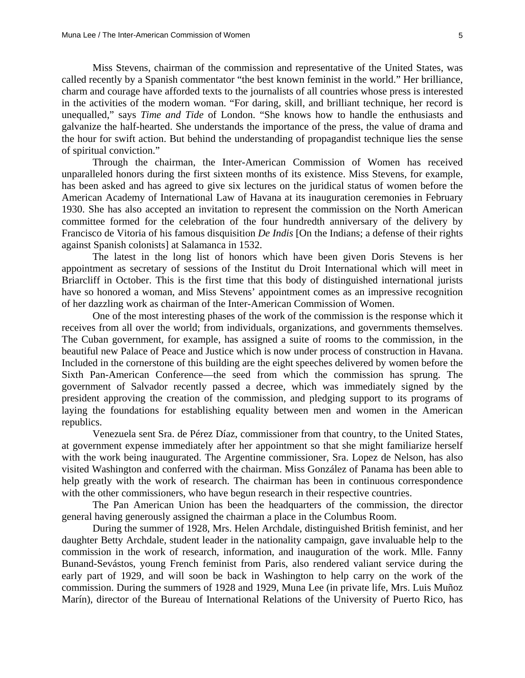Miss Stevens, chairman of the commission and representative of the United States, was called recently by a Spanish commentator "the best known feminist in the world." Her brilliance, charm and courage have afforded texts to the journalists of all countries whose press is interested in the activities of the modern woman. "For daring, skill, and brilliant technique, her record is unequalled," says *Time and Tide* of London. "She knows how to handle the enthusiasts and galvanize the half-hearted. She understands the importance of the press, the value of drama and the hour for swift action. But behind the understanding of propagandist technique lies the sense of spiritual conviction."

 Through the chairman, the Inter-American Commission of Women has received unparalleled honors during the first sixteen months of its existence. Miss Stevens, for example, has been asked and has agreed to give six lectures on the juridical status of women before the American Academy of International Law of Havana at its inauguration ceremonies in February 1930. She has also accepted an invitation to represent the commission on the North American committee formed for the celebration of the four hundredth anniversary of the delivery by Francisco de Vitoria of his famous disquisition *De Indis* [On the Indians; a defense of their rights against Spanish colonists] at Salamanca in 1532.

 The latest in the long list of honors which have been given Doris Stevens is her appointment as secretary of sessions of the Institut du Droit International which will meet in Briarcliff in October. This is the first time that this body of distinguished international jurists have so honored a woman, and Miss Stevens' appointment comes as an impressive recognition of her dazzling work as chairman of the Inter-American Commission of Women.

 One of the most interesting phases of the work of the commission is the response which it receives from all over the world; from individuals, organizations, and governments themselves. The Cuban government, for example, has assigned a suite of rooms to the commission, in the beautiful new Palace of Peace and Justice which is now under process of construction in Havana. Included in the cornerstone of this building are the eight speeches delivered by women before the Sixth Pan-American Conference—the seed from which the commission has sprung. The government of Salvador recently passed a decree, which was immediately signed by the president approving the creation of the commission, and pledging support to its programs of laying the foundations for establishing equality between men and women in the American republics.

 Venezuela sent Sra. de Pérez Díaz, commissioner from that country, to the United States, at government expense immediately after her appointment so that she might familiarize herself with the work being inaugurated. The Argentine commissioner, Sra. Lopez de Nelson, has also visited Washington and conferred with the chairman. Miss González of Panama has been able to help greatly with the work of research. The chairman has been in continuous correspondence with the other commissioners, who have begun research in their respective countries.

 The Pan American Union has been the headquarters of the commission, the director general having generously assigned the chairman a place in the Columbus Room.

 During the summer of 1928, Mrs. Helen Archdale, distinguished British feminist, and her daughter Betty Archdale, student leader in the nationality campaign, gave invaluable help to the commission in the work of research, information, and inauguration of the work. Mlle. Fanny Bunand-Sevástos, young French feminist from Paris, also rendered valiant service during the early part of 1929, and will soon be back in Washington to help carry on the work of the commission. During the summers of 1928 and 1929, Muna Lee (in private life, Mrs. Luis Muñoz Marín), director of the Bureau of International Relations of the University of Puerto Rico, has